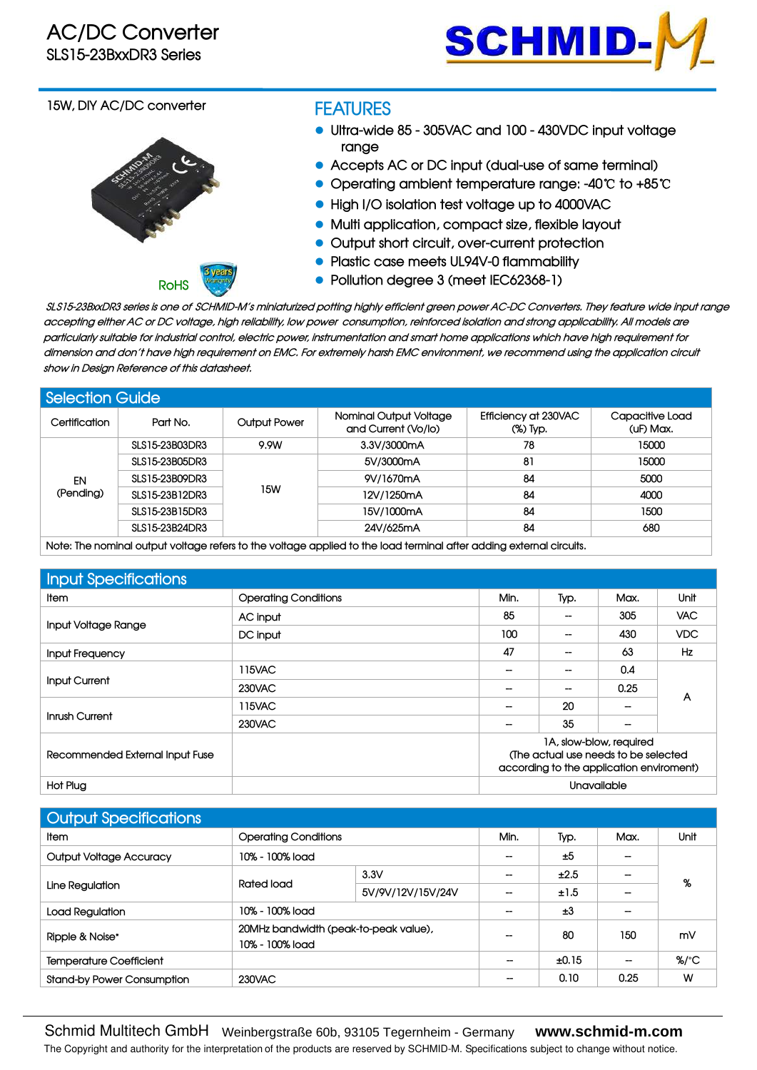

#### **15W, DIY AC/DC converter**



# **FEATURES**

- **Ultra-wide 85 - 305VAC and 100 - 430VDC input voltage range**
- **Accepts AC or DC input (dual-use of same terminal)**
- **Operating ambient temperature range: -40**℃ **to +85**℃
- **High I/O isolation test voltage up to 4000VAC**
- **Multi application, compact size, flexible layout**
- **Output short circuit, over-current protection**
- **Plastic case meets UL94V-0 flammability**
- **Pollution degree 3 (meet IEC62368-1)**

SLS15-23BxxDR3 series is one of SCHMID-M´s miniaturized potting highly efficient green power AC-DC Converters. They feature wide input range accepting either AC or DC voltage, high reliability, low power consumption, reinforced isolation and strong applicability. All models are particularly suitable for industrial control, electric power, instrumentation and smart home applications which have high requirement for dimension and don't have high requirement on EMC. For extremely harsh EMC environment, we recommend using the application circuit **show in Design Reference of this datasheet.**

| <b>Selection Guide</b> |                |                     |                                               |                                  |                              |
|------------------------|----------------|---------------------|-----------------------------------------------|----------------------------------|------------------------------|
| Certification          | Part No.       | <b>Output Power</b> | Nominal Output Voltage<br>and Current (Vo/lo) | Efficiency at 230VAC<br>(%) Typ. | Capacitive Load<br>(uF) Max. |
|                        | SLS15-23B03DR3 | 9.9W                | 3.3V/3000mA                                   | 78                               | 15000                        |
|                        | SLS15-23B05DR3 |                     | 5V/3000mA                                     | 81                               | 15000                        |
| EN                     | SLS15-23B09DR3 |                     | 9V/1670mA                                     | 84                               | 5000                         |
| (Pending)              | SLS15-23B12DR3 | 15W                 | 12V/1250mA                                    | 84                               | 4000                         |
|                        | SLS15-23B15DR3 |                     | 15V/1000mA                                    | 84                               | 1500                         |
|                        | SLS15-23B24DR3 |                     | 24V/625mA                                     | 84                               | 680                          |
| .                      | .              | .                   | .                                             | .                                |                              |

Note: The nominal output voltage refers to the voltage applied to the load terminal after adding external circuits.

| Input Specifications            |                             |                                                                                                             |      |             |      |  |
|---------------------------------|-----------------------------|-------------------------------------------------------------------------------------------------------------|------|-------------|------|--|
| Item                            | <b>Operating Conditions</b> | Min.                                                                                                        | Typ. | Max.        | Unit |  |
|                                 | AC input                    | 85                                                                                                          | $-$  | 305         | VAC. |  |
| Input Voltage Range             | DC input                    | 100                                                                                                         | $-$  | 430         | VDC. |  |
| Input Frequency                 |                             | 47                                                                                                          | --   | 63          | Hz   |  |
| <b>Input Current</b>            | 115VAC                      | --                                                                                                          |      | 0.4         |      |  |
|                                 | 230VAC                      | --                                                                                                          | --   | 0.25        |      |  |
|                                 | 115VAC                      | --                                                                                                          | 20   |             | A    |  |
| Inrush Current                  | 230VAC                      |                                                                                                             | 35   |             |      |  |
| Recommended External Input Fuse |                             | 1A, slow-blow, required<br>(The actual use needs to be selected<br>according to the application enviroment) |      |             |      |  |
| Hot Plug                        |                             |                                                                                                             |      | Unavailable |      |  |

| Output Specifications             |                             |                                       |      |       |                          |                  |
|-----------------------------------|-----------------------------|---------------------------------------|------|-------|--------------------------|------------------|
| ltem.                             | <b>Operating Conditions</b> |                                       | Min. | Typ.  | Max.                     | Unit             |
| <b>Output Voltage Accuracy</b>    | 10% - 100% load             |                                       |      | ±5    | --                       |                  |
| Line Regulation                   |                             | 3.3V                                  |      | ±2.5  | $\overline{\phantom{a}}$ | %                |
|                                   | Rated load                  | 5V/9V/12V/15V/24V                     |      | ±1.5  | $\overline{\phantom{a}}$ |                  |
| Load Regulation                   | 10% - 100% load             |                                       |      | ±3    |                          |                  |
| Ripple & Noise*                   | 10% - 100% load             | 20MHz bandwidth (peak-to-peak value), |      | 80    | 150                      | mV               |
| <b>Temperature Coefficient</b>    |                             |                                       |      | ±0.15 | $-$                      | $%$ $^{\circ}$ C |
| <b>Stand-by Power Consumption</b> | 230VAC                      |                                       |      | 0.10  | 0.25                     | W                |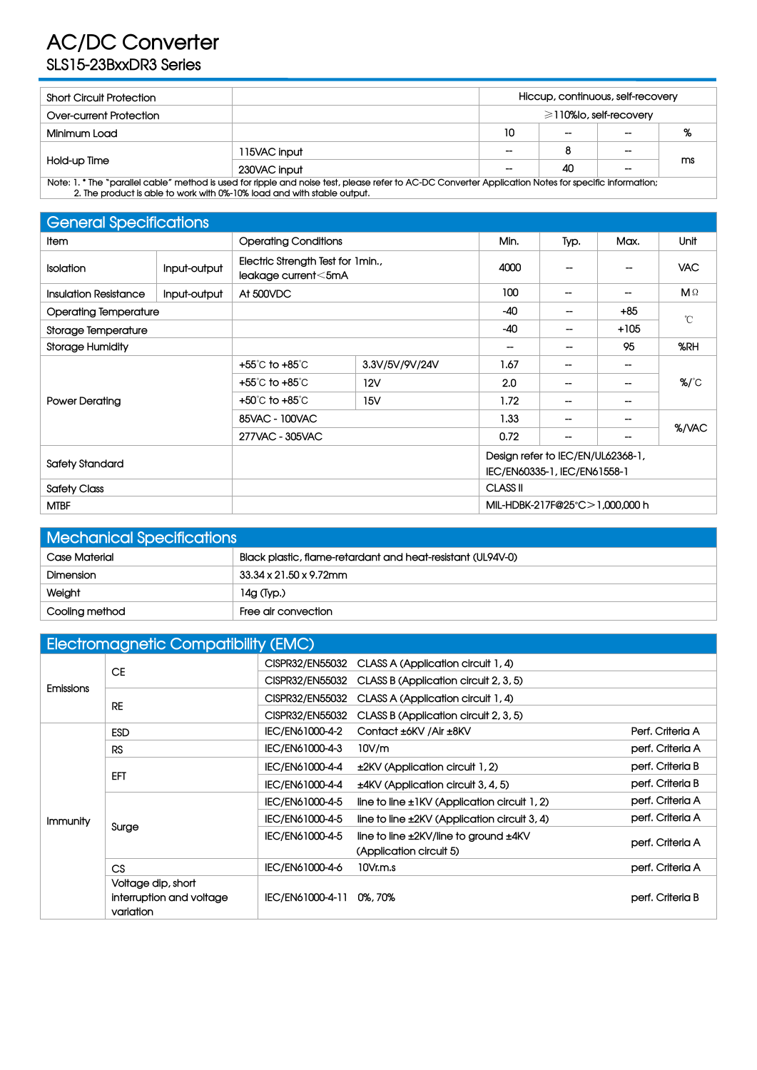# **AC/DC Converter SLS15-23BxxDR3 Series**

| <b>Short Circuit Protection</b> | Hiccup, continuous, self-recovery |     |                          |       |                |  |
|---------------------------------|-----------------------------------|-----|--------------------------|-------|----------------|--|
| Over-current Protection         | $\geq$ 110% o, self-recovery      |     |                          |       |                |  |
| Minimum Load                    |                                   | 10  | $\overline{\phantom{a}}$ | $- -$ | <b>o</b><br>70 |  |
|                                 | 115VAC input                      | $-$ | 8                        | $-$   |                |  |
| Hold-up Time                    | 230VAC input                      | $-$ | 40                       | $- -$ | ms             |  |

Note: 1. \* The "parallel cable" method is used for ripple and noise test, please refer to AC-DC Converter Application Notes for specific information; **2. The product isable to work with 0%-10% load and with stable output.**

| <b>General Specifications</b> |              |                                                          |                             |                          |                                                                   |                   |                     |  |
|-------------------------------|--------------|----------------------------------------------------------|-----------------------------|--------------------------|-------------------------------------------------------------------|-------------------|---------------------|--|
| Item                          |              |                                                          | <b>Operating Conditions</b> |                          | Typ.                                                              | Max.              | Unit                |  |
| Isolation                     | Input-output | Electric Strength Test for 1min.,<br>leakage current<5mA |                             | 4000                     | --                                                                | --                | <b>VAC</b>          |  |
| <b>Insulation Resistance</b>  | Input-output | At 500VDC                                                |                             | 100                      | $\hspace{0.05cm}$                                                 | --                | MΩ                  |  |
| <b>Operating Temperature</b>  |              |                                                          |                             | $-40$                    | --                                                                | $+85$             | $^{\circ}$ C        |  |
| Storage Temperature           |              |                                                          |                             | $-40$                    | --                                                                | $+105$            |                     |  |
| <b>Storage Humidity</b>       |              |                                                          |                             | $\overline{\phantom{a}}$ | --                                                                | 95                | %RH                 |  |
|                               |              | +55℃ to +85℃                                             | 3.3V/5V/9V/24V              | 1.67                     | $\hspace{0.05cm}$                                                 | $\hspace{0.05cm}$ |                     |  |
|                               |              | +55°C to +85°C                                           | 12V                         | 2.0                      | $\hspace{0.05cm}$                                                 | --                | $\%$ / $^{\circ}$ C |  |
| <b>Power Derating</b>         |              | +50°C to +85°C                                           | 15V                         | 1.72                     | $\hspace{0.05cm}$                                                 | $\hspace{0.05cm}$ |                     |  |
|                               |              | 85VAC - 100VAC                                           |                             | 1.33                     | $\overline{\phantom{a}}$                                          | $\hspace{0.05cm}$ |                     |  |
|                               |              | 277VAC - 305VAC                                          |                             | 0.72                     | $\hspace{0.05cm}$                                                 | --                | %/VAC               |  |
| <b>Safety Standard</b>        |              |                                                          |                             |                          | Design refer to IEC/EN/UL62368-1,<br>IEC/EN60335-1, IEC/EN61558-1 |                   |                     |  |
| <b>Safety Class</b>           |              |                                                          |                             | CLASS <sub>II</sub>      |                                                                   |                   |                     |  |
| <b>MTBF</b>                   |              |                                                          |                             |                          | MIL-HDBK-217F@25°C>1,000,000 h                                    |                   |                     |  |

| <b>Mechanical Specifications</b> |                                                             |
|----------------------------------|-------------------------------------------------------------|
| Case Material                    | Black plastic, flame-retardant and heat-resistant (UL94V-0) |
| <b>Dimension</b>                 | 33.34 x 21.50 x 9.72mm                                      |
| Weight                           | 14g (Typ.)                                                  |
| Cooling method                   | Free air convection                                         |

|                  | <b>Electromagnetic Compatibility (EMC)</b>                  |                          |                                                                              |                  |
|------------------|-------------------------------------------------------------|--------------------------|------------------------------------------------------------------------------|------------------|
|                  |                                                             | CISPR32/EN55032          | CLASS A (Application circuit 1, 4)                                           |                  |
|                  | <b>CE</b>                                                   | CISPR32/EN55032          | CLASS B (Application circuit 2, 3, 5)                                        |                  |
| <b>Emissions</b> | <b>RE</b>                                                   | CISPR32/EN55032          | CLASS A (Application circuit 1, 4)                                           |                  |
|                  |                                                             | CISPR32/EN55032          | CLASS B (Application circuit 2, 3, 5)                                        |                  |
|                  | <b>ESD</b>                                                  | IEC/EN61000-4-2          | Contact ±6KV / Air ±8KV                                                      | Perf. Criteria A |
|                  | <b>RS</b>                                                   | IEC/EN61000-4-3          | 10V/m                                                                        | perf. Criteria A |
|                  |                                                             | IEC/EN61000-4-4          | ±2KV (Application circuit 1, 2)                                              | perf. Criteria B |
|                  | EFT                                                         | IEC/EN61000-4-4          | $±4$ KV (Application circuit 3, 4, 5)                                        | perf. Criteria B |
|                  |                                                             | IEC/EN61000-4-5          | line to line $\pm$ 1KV (Application circuit 1, 2)                            | perf. Criteria A |
| Immunity         |                                                             | IEC/EN61000-4-5          | line to line ±2KV (Application circuit 3, 4)                                 | perf. Criteria A |
| Surge            |                                                             | IEC/EN61000-4-5          | line to line $\pm 2$ KV/line to ground $\pm 4$ KV<br>(Application circuit 5) | perf. Criteria A |
|                  | CS                                                          | IEC/EN61000-4-6          | 10Vr.m.s                                                                     | perf. Criteria A |
|                  | Voltage dip, short<br>interruption and voltage<br>variation | IEC/EN61000-4-11 0%, 70% |                                                                              | perf. Criteria B |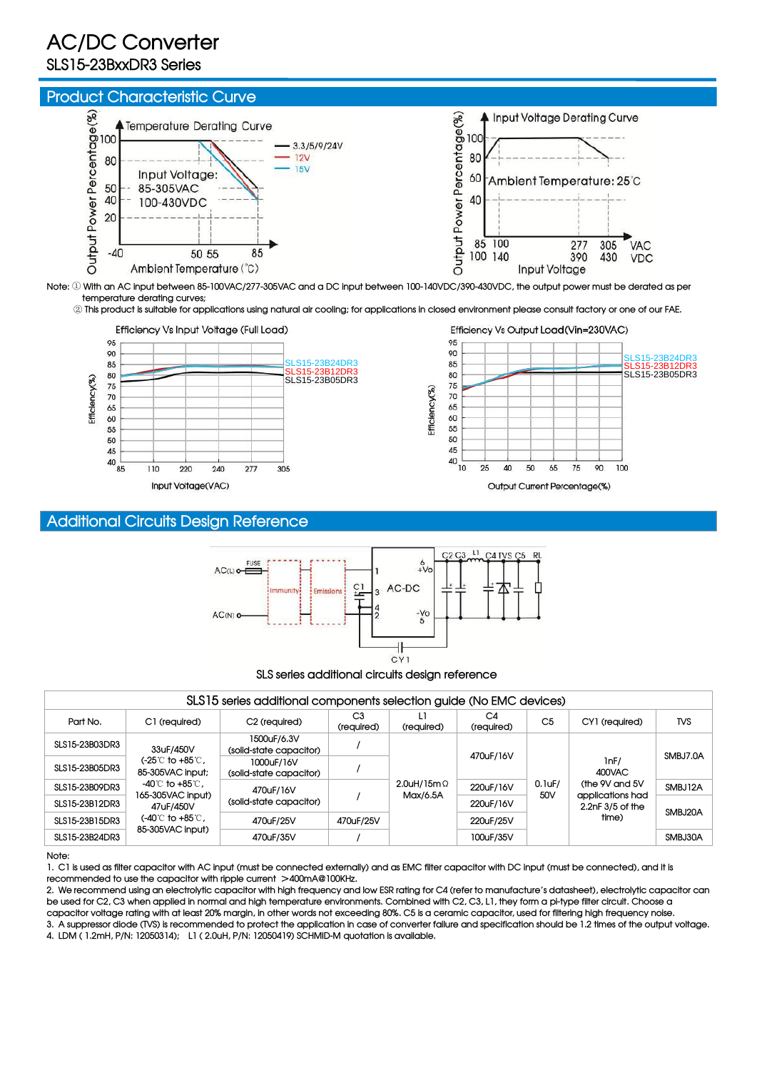# **AC/DC Converter**

# **SLS15-23BxxDR3 Series**



Note: 1) With an AC input between 85-100VAC/277-305VAC and a DC input between 100-140VDC/390-430VDC, the output power must be derated as per **temperature derating curves;**

2) This product is suitable for applications using natural air cooling; for applications in closed environment please consult factory or one of our FAE.





## **Additional Circuits Design Reference**



|                |                                                                   | SLS15 series additional components selection guide (No EMC devices) |                              |                                   |                  |                  |                                                                                       |            |
|----------------|-------------------------------------------------------------------|---------------------------------------------------------------------|------------------------------|-----------------------------------|------------------|------------------|---------------------------------------------------------------------------------------|------------|
| Part No.       | C1 (required)                                                     | C <sub>2</sub> (required)                                           | C <sub>3</sub><br>(required) | (required)                        | C4<br>(required) | C <sub>5</sub>   | CY1 (required)                                                                        | <b>TVS</b> |
| SLS15-23B03DR3 | 33uF/450V                                                         | 1500uF/6.3V<br>(solid-state capacitor)                              |                              | $2.0$ uH/15m $\Omega$<br>Max/6.5A | 470uF/16V        |                  | lnF/<br>400VAC<br>(the 9V and 5V<br>applications had<br>$2.2nF$ $3/5$ of the<br>time) | SMBJ7.0A   |
| SLS15-23B05DR3 | $(-25^\circ \text{C}$ to +85 $\textdegree$ C,<br>85-305VAC input; | 1000uF/16V<br>(solid-state capacitor)                               |                              |                                   |                  | $0.1$ uF/<br>50V |                                                                                       |            |
| SLS15-23B09DR3 | -40℃ to +85℃,<br>165-305VAC input)                                | 470uF/16V                                                           |                              |                                   | 220uF/16V        |                  |                                                                                       | SMBJ12A    |
| SLS15-23B12DR3 | 47uF/450V                                                         | (solid-state capacitor)                                             |                              |                                   | 220uF/16V        |                  |                                                                                       | SMBJ20A    |
| SLS15-23B15DR3 | $(-40^\circ \text{C}$ to +85 $\text{C}$ ,<br>85-305VAC input)     | 470uF/25V                                                           | 470uF/25V                    |                                   | 220uF/25V        |                  |                                                                                       |            |
| SLS15-23B24DR3 |                                                                   | 470uF/35V                                                           |                              |                                   | 100uF/35V        |                  |                                                                                       | SMBJ30A    |

#### **Note:**

1. C1 is used as filter capacitor with AC input (must be connected externally) and as EMC filter capacitor with DC input (must be connected), and it is **recommended to use the capacitor with ripple current** >**400mA@100KHz.**

2. We recommend using an electrolytic capacitor with high frequency and low ESR rating for C4 (refer to manufacture's datasheet), electrolytic capacitor can be used for C2, C3 when applied in normal and high temperature environments. Combined with C2, C3, L1, they form a pi-type filter circuit. Choose a capacitor voltage rating with at least 20% margin, in other words not exceeding 80%. C5 is a ceramic capacitor, used for filtering high frequency noise. 3. A suppressor diode (TVS) is recommended to protect the application in case of converter failure and specification should be 1.2 times of the output voltage.

**4. LDM ( 1.2mH, P/N: 12050314); L1 ( 2.0uH, P/N: 12050419) quotation is available. SCHMID-M**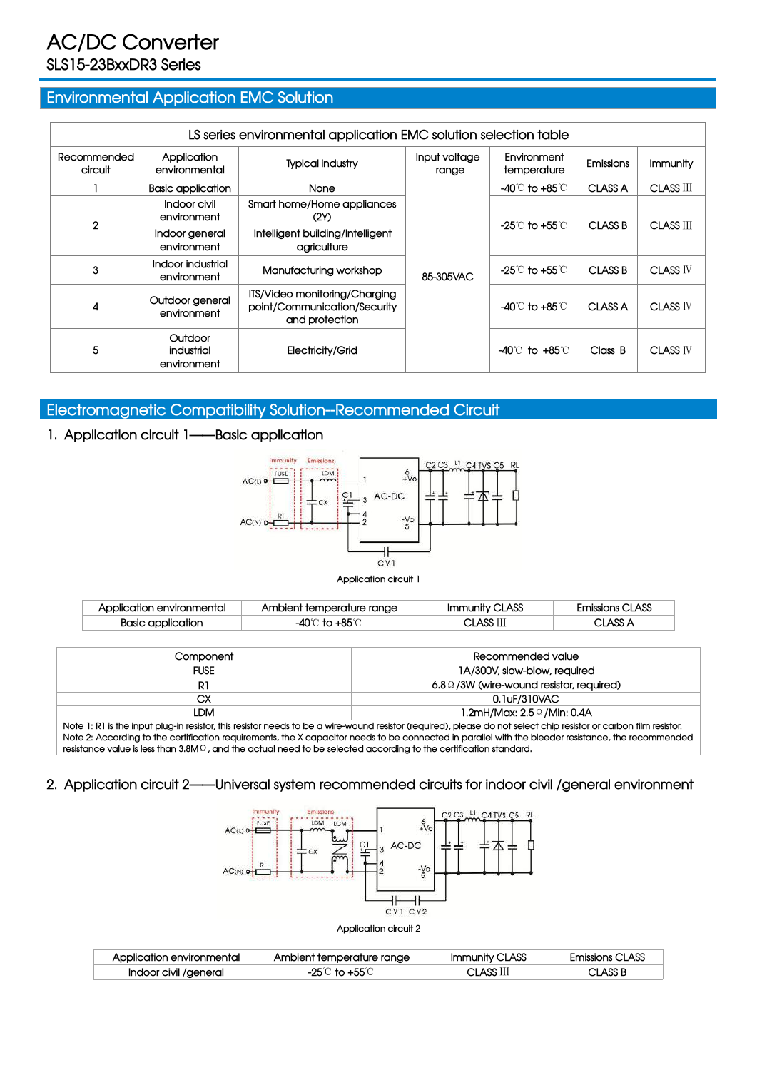# **AC/DC Converter SLS15-23BxxDR3 Series**

## **Environmental Application EMC Solution**

|                        |                                      | LS series environmental application EMC solution selection table                |                        |                                    |                  |                  |
|------------------------|--------------------------------------|---------------------------------------------------------------------------------|------------------------|------------------------------------|------------------|------------------|
| Recommended<br>circuit | Application<br>environmental         | <b>Typical industry</b>                                                         | Input voltage<br>range | Environment<br>temperature         | <b>Emissions</b> | Immunity         |
|                        | <b>Basic application</b>             | None                                                                            |                        | -40℃ to +85℃                       | CLASS A          | <b>CLASS III</b> |
|                        | Indoor civil<br>environment          | Smart home/Home appliances<br>(2)                                               |                        |                                    | CLASS B          | CLASS III        |
| $\overline{2}$         | Indoor general<br>environment        | Intelligent building/Intelligent<br>agriculture                                 |                        | -25 $\degree$ to +55 $\degree$ C   |                  |                  |
| 3                      | Indoor industrial<br>environment     | Manufacturing workshop                                                          | 85-305VAC              | -25 $\degree$ C to +55 $\degree$ C | <b>CLASS B</b>   | <b>CLASS IV</b>  |
| 4                      | Outdoor general<br>environment       | ITS/Video monitoring/Charging<br>point/Communication/Security<br>and protection |                        | -40℃ to +85℃                       | CLASS A          | <b>CLASS IV</b>  |
| 5                      | Outdoor<br>industrial<br>environment | Electricity/Grid                                                                |                        | $-40^{\circ}$ to $+85^{\circ}$     | Class B          | <b>CLASS IV</b>  |

## **Electromagnetic Compatibility Solution--Recommended Circuit**

### **1. Application circuit 1——Basic application**



#### **Application circuit 1**

| Application environmental | Ambient temperature range        | <b>CLASS</b><br>Immunity ( | <b>Emissions CLASS</b> |
|---------------------------|----------------------------------|----------------------------|------------------------|
| Basic application         | $\pm$ 95 $\degree$<br>-40℃<br>ŤΩ | A OO TT<br><b>CLASS</b>    | $2$ LASS $\prime$      |

| Component                                                                                                                                                         | Recommended value                                 |  |  |  |  |
|-------------------------------------------------------------------------------------------------------------------------------------------------------------------|---------------------------------------------------|--|--|--|--|
| <b>FUSE</b>                                                                                                                                                       | 1A/300V, slow-blow, required                      |  |  |  |  |
| R1                                                                                                                                                                | $6.8\,\Omega$ /3W (wire-wound resistor, required) |  |  |  |  |
| CХ                                                                                                                                                                | 0.1uF/310VAC                                      |  |  |  |  |
| LDM                                                                                                                                                               | 1.2mH/Max: 2.5 Ω /Min: 0.4A                       |  |  |  |  |
| Note 1: R1 is the input plug-in resistor, this resistor needs to be a wire-wound resistor (required), please do not select chip resistor or carbon film resistor. |                                                   |  |  |  |  |

Note 2: According to the certification requirements, the X capacitor needs to be connected in parallel with the bleeder resistance, the recommended resistance value is less than  $3.8M\Omega$ , and the actual need to be selected according to the certification standard.

#### **2. Application circuit 2——Universal system recommended circuits for indoor civil /general environment**



#### **Application circuit 2**

| Application environmental | Ambient temperature range | nunity CLASS | missions CLASS |
|---------------------------|---------------------------|--------------|----------------|
| Indoor civil /general     | -25                       | CLASS II     | CLASS B        |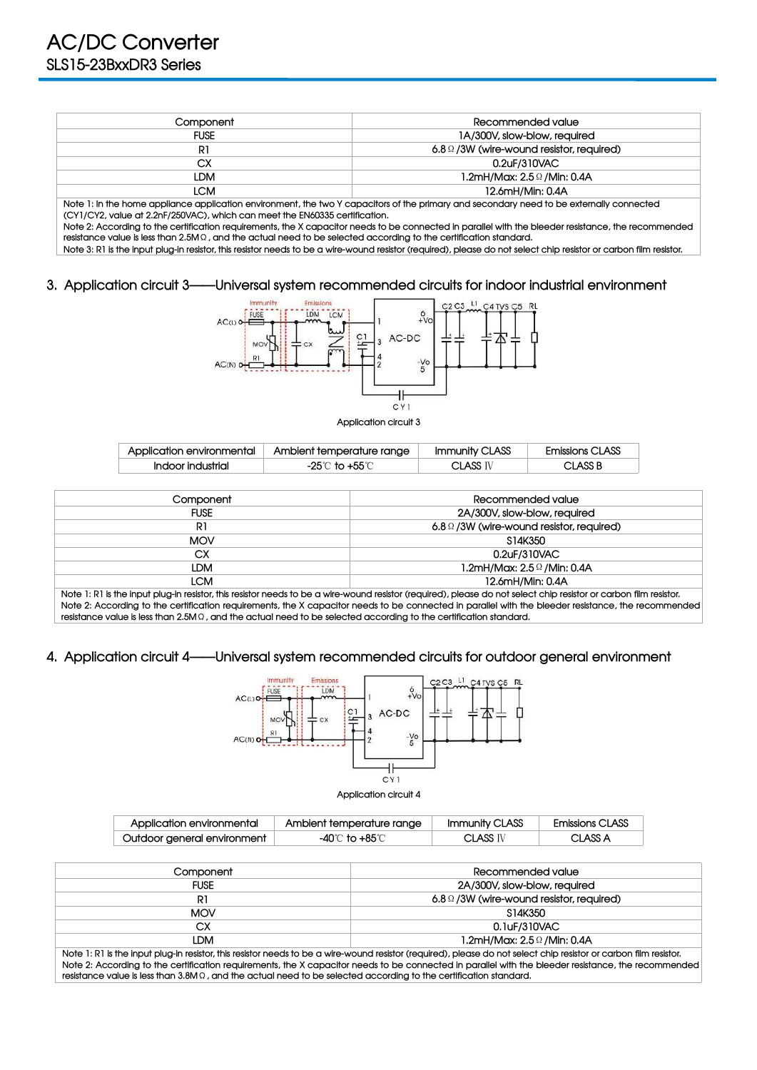| Component   | Recommended value                                 |
|-------------|---------------------------------------------------|
| <b>FUSE</b> | 1A/300V, slow-blow, required                      |
| R1          | $6.8\,\Omega$ /3W (wire-wound resistor, required) |
| СX          | 0.2uF/310VAC                                      |
| LDM         | 1.2mH/Max: 2.5 Ω /Min: 0.4A                       |
| LCM         | 12.6mH/Min: 0.4A                                  |

Note 1: In the home appliance application environment, the two Y capacitors of the primary and secondary need to be externally connected **(CY1/CY2, value at 2.2nF/250VAC), which can meetthe EN60335 certification.**

Note 2: According to the certification requirements, the X capacitor needs to be connected in parallel with the bleeder resistance, the recommended resistance value is less than  $2.5M\Omega$ , and the actual need to be selected according to the certification standard.

Note 3: R1 is the input plug-in resistor, this resistor needs to be a wire-wound resistor (required), please do not select chip resistor or carbon film resistor.

#### **3. Application circuit 3——Universal system recommended circuits for indoor industrial environment**



**Application circuit 3**

| Application environmental | Ambient temperature range | Immunity CLASS | <b>Emissions CLASS</b> |
|---------------------------|---------------------------|----------------|------------------------|
|                           |                           | ACC TT<br>nu.  | ∠LASS B                |

| Component   | Recommended value                                 |
|-------------|---------------------------------------------------|
| <b>FUSE</b> | 2A/300V, slow-blow, required                      |
| R1          | $6.8 \Omega / 3W$ (wire-wound resistor, required) |
| <b>MOV</b>  | S14K350                                           |
| <b>CX</b>   | 0.2uF/310VAC                                      |
| <b>LDM</b>  | 1.2mH/Max: $2.5\,$ $\Omega$ /Min: 0.4A            |
| <b>LCM</b>  | 12.6mH/Min: 0.4A                                  |
| .           | .<br>.                                            |

Note 1: R1 is the input plug-in resistor, this resistor needs to be a wire-wound resistor (required), please do not select chip resistor or carbon film resistor. Note 2: According to the certification requirements, the X capacitor needs to be connected in parallel with the bleeder resistance, the recommended resistance value is less than 2.5M Q, and the actual need to be selected according to the certification standard.

#### **4. Application circuit 4——Universal system recommended circuits for outdoor general environment**



#### **Application circuit 4**

| Application environmental   | Ambient temperature range          | Immunity CLASS | <b>Emissions CLASS</b> |
|-----------------------------|------------------------------------|----------------|------------------------|
| Outdoor general environment | $\mathbf{A} + \mathbf{Q}$<br>י∩ו⁄. |                |                        |

| Component   | Recommended value                                 |
|-------------|---------------------------------------------------|
| <b>FUSE</b> | 2A/300V, slow-blow, required                      |
| R1          | $6.8\,\Omega$ /3W (wire-wound resistor, required) |
| <b>MOV</b>  | S14K350                                           |
| CХ          | 0.1uF/310VAC                                      |
| LDM         | 1.2mH/Max: $2.5\,$ /Min: 0.4A                     |
| .<br>.<br>. | $\sim$                                            |

Note 1: R1 is the input plug-in resistor, this resistor needs to be a wire-wound resistor (required), please do not select chip resistor or carbon film resistor. Note 2: According to the certification requirements, the X capacitor needs to be connected in parallel with the bleeder resistance, the recommended resistance value is less than 3.8M Q, and the actual need to be selected according to the certification standard.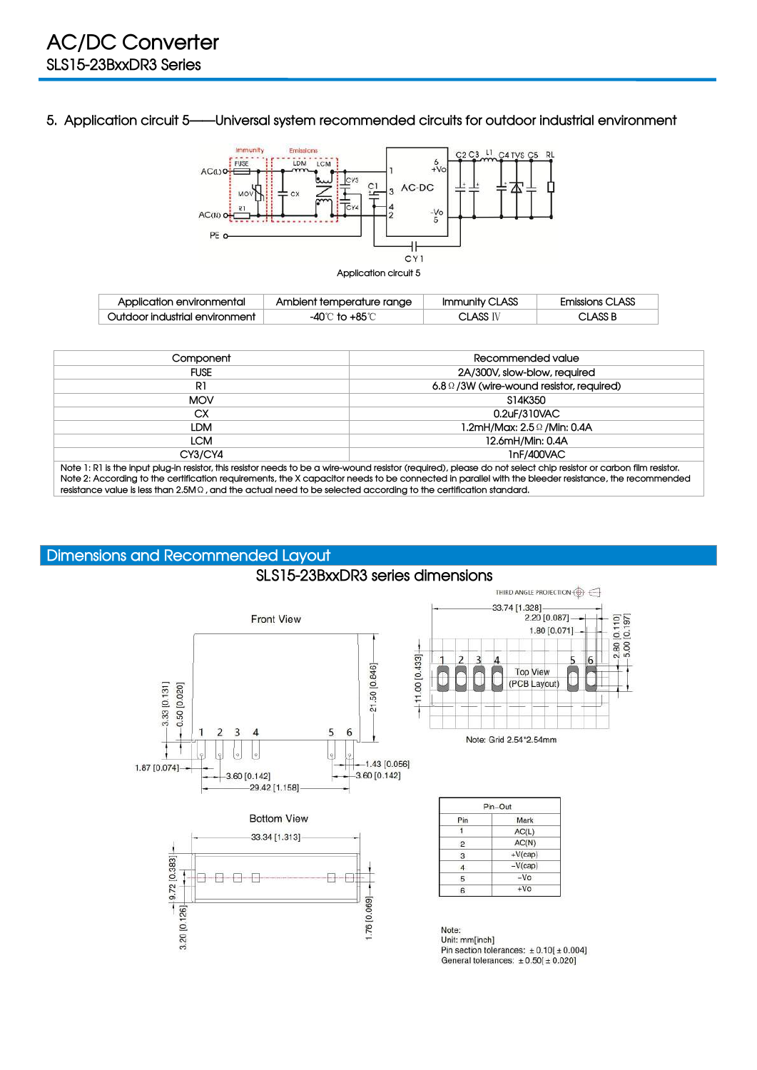**5. Application circuit 5——Universal system recommended circuits for outdoor industrial environment**



| Application environmental      | Ambient temperature range | Immunity CLASS                 | <b>Emissions CLASS</b> |
|--------------------------------|---------------------------|--------------------------------|------------------------|
| Outdoor industrial environment | ⊦85°Ր                     | $\mathsf{LLASS}^{\mathrm{IV}}$ | CLASS B                |

| Component                                                                                                                 | Recommended value                                                                                                                                                                                                                                                                                                        |
|---------------------------------------------------------------------------------------------------------------------------|--------------------------------------------------------------------------------------------------------------------------------------------------------------------------------------------------------------------------------------------------------------------------------------------------------------------------|
| <b>FUSE</b>                                                                                                               | 2A/300V, slow-blow, required                                                                                                                                                                                                                                                                                             |
| R1                                                                                                                        | $6.8 \Omega / 3W$ (wire-wound resistor, required)                                                                                                                                                                                                                                                                        |
| <b>MOV</b>                                                                                                                | S14K350                                                                                                                                                                                                                                                                                                                  |
| СX                                                                                                                        | 0.2uF/310VAC                                                                                                                                                                                                                                                                                                             |
| LDM                                                                                                                       |                                                                                                                                                                                                                                                                                                                          |
| <b>LCM</b>                                                                                                                | 12.6mH/Min: 0.4A                                                                                                                                                                                                                                                                                                         |
| CY3/CY4                                                                                                                   | InF/400VAC                                                                                                                                                                                                                                                                                                               |
| resistance value is less than 2.5M $\Omega$ , and the actual need to be selected according to the certification standard. | Note 1: R1 is the input plug-in resistor, this resistor needs to be a wire-wound resistor (required), please do not select chip resistor or carbon film resistor.<br>Note 2: According to the certification requirements, the X capacitor needs to be connected in parallel with the bleeder resistance, the recommended |

**SLS15-23BxxDR3 series dimensions**

## **Dimensions and Recommended Layout**



THIRD ANGLE PROJECTION  $\bigoplus$ 33.74 [1.328] 2.20 [0.087]  $-2.80$  [0.110]<br> $-5.00$  [0.197] 1.80 [0.071]  $\overline{2}$  $\overline{3}$  $\overline{4}$ 5 6 **Top View** r r (PCB Layout)

Note: Grid 2.54\*2.54mm

| Pin            | Mark      |
|----------------|-----------|
|                | AC(L)     |
| $\overline{2}$ | AC(N)     |
| 3              | $+V(cap)$ |
|                | $-V(cap)$ |
| 5              | $-VO$     |
| ค              | $+V_0$    |

Note: Unit: mm[inch]<br>Pin section tolerances:  $\pm 0.10[\pm 0.004]$ General tolerances:  $\pm 0.50[\pm 0.020]$